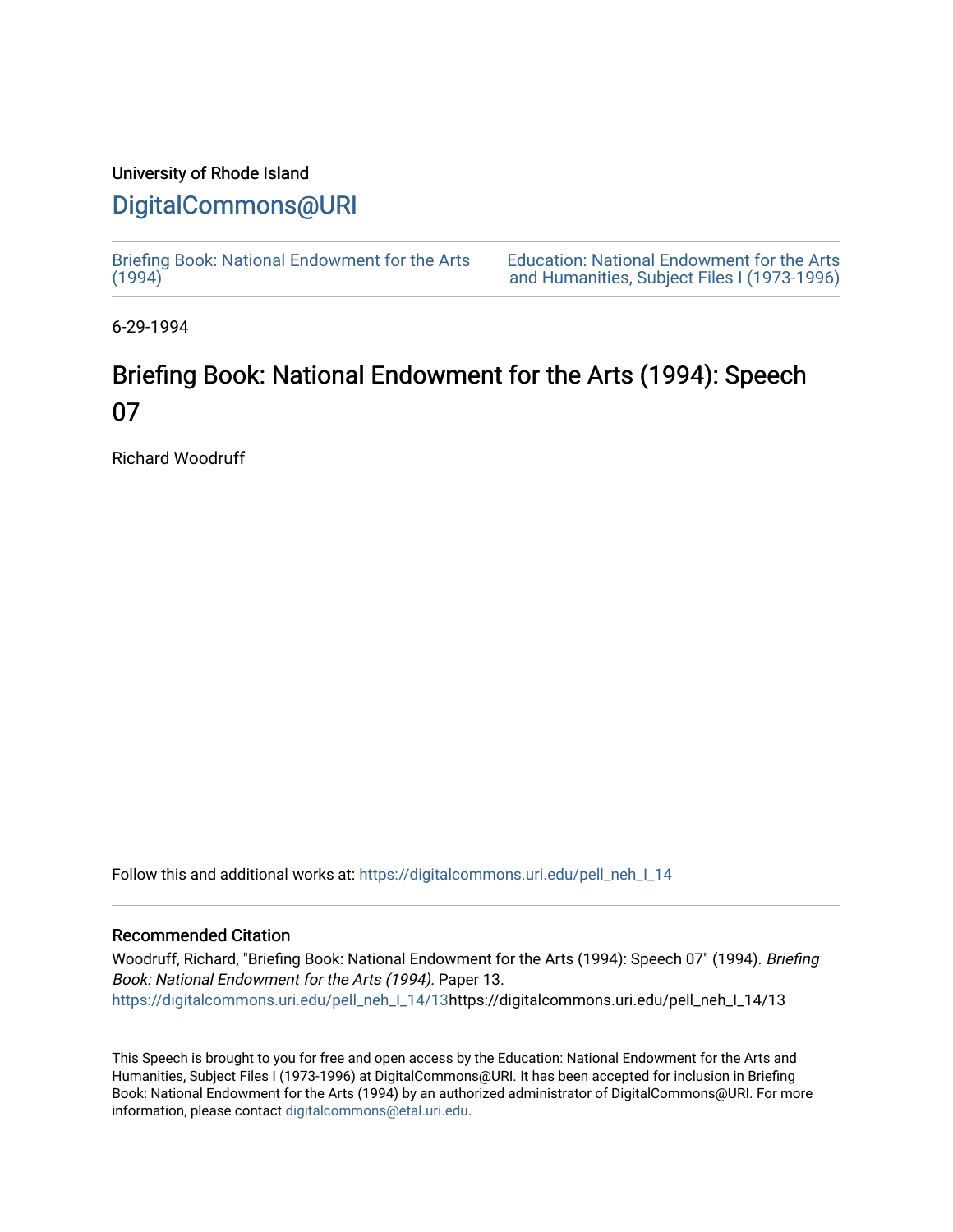## University of Rhode Island

## [DigitalCommons@URI](https://digitalcommons.uri.edu/)

[Briefing Book: National Endowment for the Arts](https://digitalcommons.uri.edu/pell_neh_I_14)  $(1994)$ 

[Education: National Endowment for the Arts](https://digitalcommons.uri.edu/pell_neh_I)  [and Humanities, Subject Files I \(1973-1996\)](https://digitalcommons.uri.edu/pell_neh_I) 

6-29-1994

## Briefing Book: National Endowment for the Arts (1994): Speech 07

Richard Woodruff

Follow this and additional works at: [https://digitalcommons.uri.edu/pell\\_neh\\_I\\_14](https://digitalcommons.uri.edu/pell_neh_I_14?utm_source=digitalcommons.uri.edu%2Fpell_neh_I_14%2F13&utm_medium=PDF&utm_campaign=PDFCoverPages) 

## Recommended Citation

Woodruff, Richard, "Briefing Book: National Endowment for the Arts (1994): Speech 07" (1994). Briefing Book: National Endowment for the Arts (1994). Paper 13. [https://digitalcommons.uri.edu/pell\\_neh\\_I\\_14/13h](https://digitalcommons.uri.edu/pell_neh_I_14/13?utm_source=digitalcommons.uri.edu%2Fpell_neh_I_14%2F13&utm_medium=PDF&utm_campaign=PDFCoverPages)ttps://digitalcommons.uri.edu/pell\_neh\_I\_14/13

This Speech is brought to you for free and open access by the Education: National Endowment for the Arts and Humanities, Subject Files I (1973-1996) at DigitalCommons@URI. It has been accepted for inclusion in Briefing Book: National Endowment for the Arts (1994) by an authorized administrator of DigitalCommons@URI. For more information, please contact [digitalcommons@etal.uri.edu.](mailto:digitalcommons@etal.uri.edu)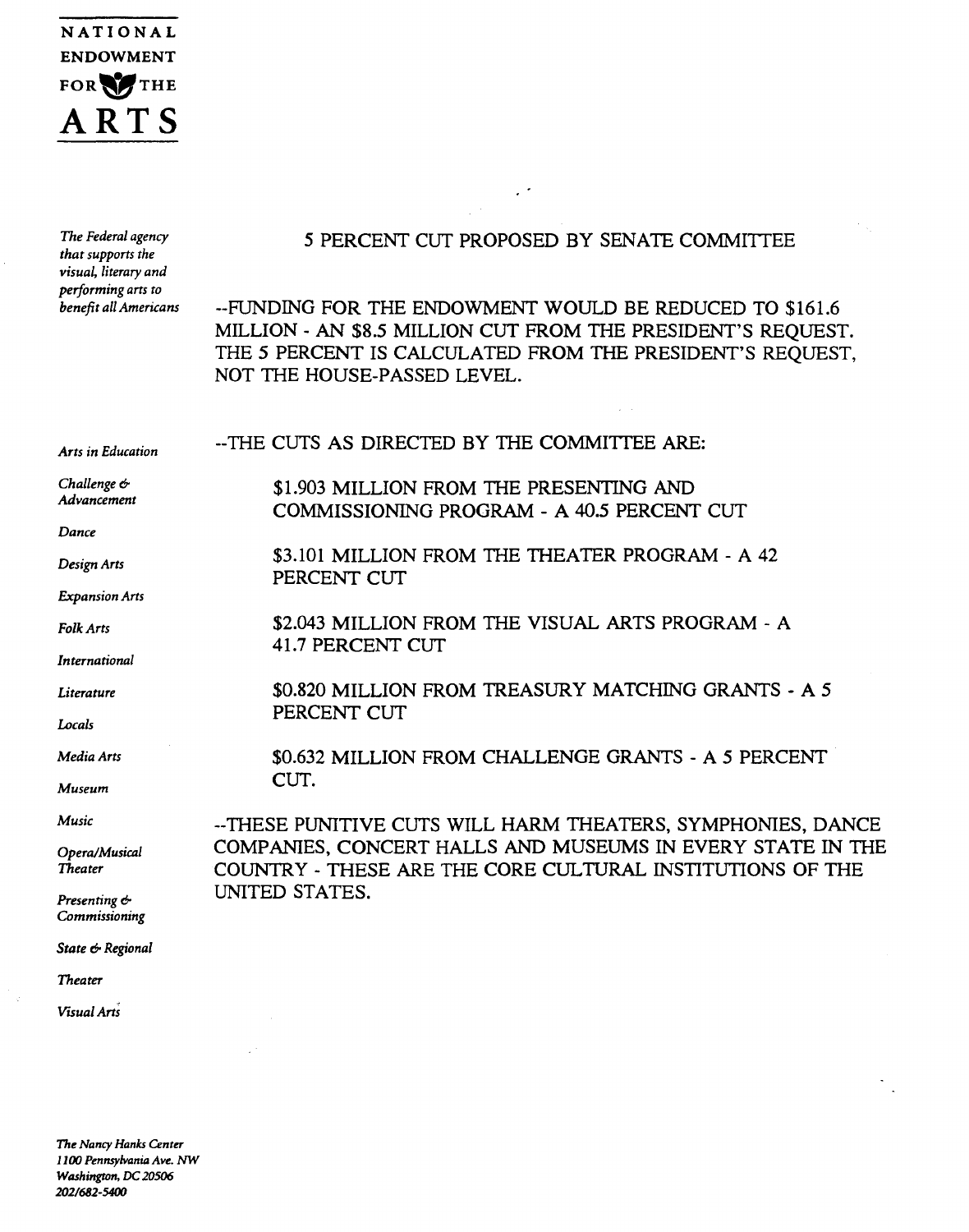

| The Federal agency<br>that supports the<br>visual, literary and<br>performing arts to<br>benefit all Americans | 5 PERCENT CUT PROPOSED BY SENATE COMMITTEE                                                                                                                                                                          |  |  |  |
|----------------------------------------------------------------------------------------------------------------|---------------------------------------------------------------------------------------------------------------------------------------------------------------------------------------------------------------------|--|--|--|
|                                                                                                                | --FUNDING FOR THE ENDOWMENT WOULD BE REDUCED TO \$161.6<br>MILLION - AN \$8.5 MILLION CUT FROM THE PRESIDENT'S REQUEST.<br>THE 5 PERCENT IS CALCULATED FROM THE PRESIDENT'S REQUEST,<br>NOT THE HOUSE-PASSED LEVEL. |  |  |  |
| Arts in Education                                                                                              | --THE CUTS AS DIRECTED BY THE COMMITTEE ARE:                                                                                                                                                                        |  |  |  |
| Challenge &<br>Advancement                                                                                     | \$1.903 MILLION FROM THE PRESENTING AND<br>COMMISSIONING PROGRAM - A 40.5 PERCENT CUT                                                                                                                               |  |  |  |
| Dance                                                                                                          |                                                                                                                                                                                                                     |  |  |  |
| Design Arts                                                                                                    | \$3.101 MILLION FROM THE THEATER PROGRAM - A 42<br>PERCENT CUT                                                                                                                                                      |  |  |  |
| <b>Expansion Arts</b>                                                                                          |                                                                                                                                                                                                                     |  |  |  |
| Folk Arts                                                                                                      | \$2.043 MILLION FROM THE VISUAL ARTS PROGRAM - A<br>41.7 PERCENT CUT                                                                                                                                                |  |  |  |
| International                                                                                                  |                                                                                                                                                                                                                     |  |  |  |
| Literature                                                                                                     | \$0.820 MILLION FROM TREASURY MATCHING GRANTS - A 5<br>PERCENT CUT                                                                                                                                                  |  |  |  |
| Locals                                                                                                         |                                                                                                                                                                                                                     |  |  |  |
| Media Arts                                                                                                     | \$0.632 MILLION FROM CHALLENGE GRANTS - A 5 PERCENT                                                                                                                                                                 |  |  |  |
| Museum                                                                                                         | CUT.                                                                                                                                                                                                                |  |  |  |
| <b>Music</b>                                                                                                   | --THESE PUNITIVE CUTS WILL HARM THEATERS, SYMPHONIES, DANCE<br>COMPANIES, CONCERT HALLS AND MUSEUMS IN EVERY STATE IN THE<br>COUNTRY - THESE ARE THE CORE CULTURAL INSTITUTIONS OF THE<br>UNITED STATES.            |  |  |  |
| Opera/Musical<br>Theater                                                                                       |                                                                                                                                                                                                                     |  |  |  |
| Presenting &<br>Commissioning                                                                                  |                                                                                                                                                                                                                     |  |  |  |
| State & Regional                                                                                               |                                                                                                                                                                                                                     |  |  |  |
| <b>Theater</b>                                                                                                 |                                                                                                                                                                                                                     |  |  |  |
| Visual Arts                                                                                                    |                                                                                                                                                                                                                     |  |  |  |

 $\frac{1}{2}$ 

 $\sim 10^6$ 

 $\langle \vec{q} \rangle$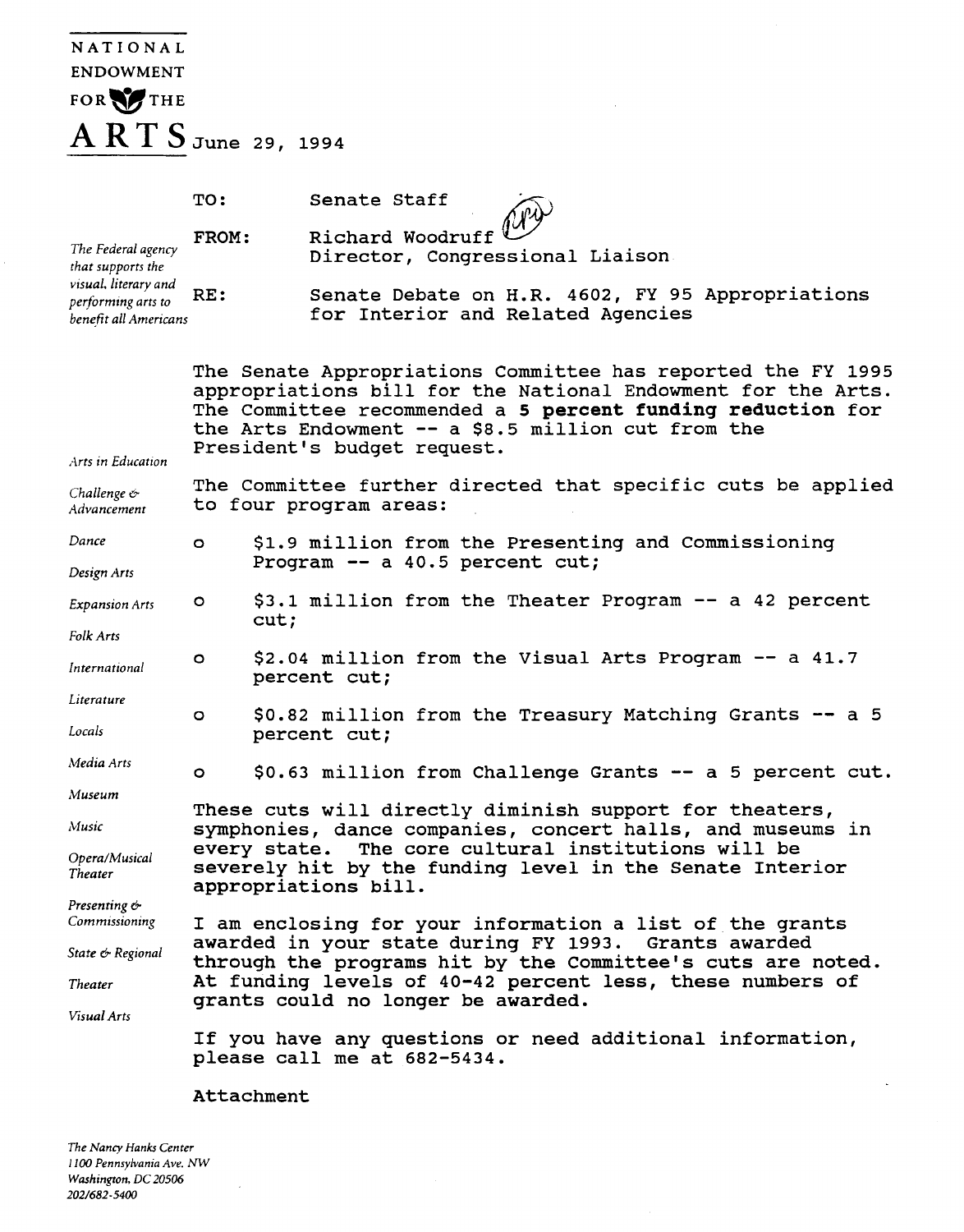| <b>NATIONAL</b>                                                                                                |                                                                                                                                                                                                                                                                                  |                                                                                       |  |  |  |  |  |
|----------------------------------------------------------------------------------------------------------------|----------------------------------------------------------------------------------------------------------------------------------------------------------------------------------------------------------------------------------------------------------------------------------|---------------------------------------------------------------------------------------|--|--|--|--|--|
| <b>ENDOWMENT</b>                                                                                               |                                                                                                                                                                                                                                                                                  |                                                                                       |  |  |  |  |  |
| FOR THE                                                                                                        |                                                                                                                                                                                                                                                                                  |                                                                                       |  |  |  |  |  |
| $A RT S$ June 29, 1994                                                                                         |                                                                                                                                                                                                                                                                                  |                                                                                       |  |  |  |  |  |
|                                                                                                                |                                                                                                                                                                                                                                                                                  |                                                                                       |  |  |  |  |  |
|                                                                                                                | TO:                                                                                                                                                                                                                                                                              | Senate Staff                                                                          |  |  |  |  |  |
| The Federal agency<br>that supports the<br>visual, literary and<br>performing arts to<br>benefit all Americans | FROM:                                                                                                                                                                                                                                                                            | Richard Woodruff<br>Director, Congressional Liaison                                   |  |  |  |  |  |
|                                                                                                                | RE:                                                                                                                                                                                                                                                                              | Senate Debate on H.R. 4602, FY 95 Appropriations<br>for Interior and Related Agencies |  |  |  |  |  |
| Arts in Education                                                                                              | The Senate Appropriations Committee has reported the FY 1995<br>appropriations bill for the National Endowment for the Arts.<br>The Committee recommended a 5 percent funding reduction for<br>the Arts Endowment -- a \$8.5 million cut from the<br>President's budget request. |                                                                                       |  |  |  |  |  |
| Challenge $\sigma$<br>Advancement                                                                              | The Committee further directed that specific cuts be applied<br>to four program areas:                                                                                                                                                                                           |                                                                                       |  |  |  |  |  |
| Dance                                                                                                          | $\circ$                                                                                                                                                                                                                                                                          | \$1.9 million from the Presenting and Commissioning<br>Program -- a 40.5 percent cut; |  |  |  |  |  |
| Design Arts                                                                                                    |                                                                                                                                                                                                                                                                                  |                                                                                       |  |  |  |  |  |
| <b>Expansion Arts</b>                                                                                          | o                                                                                                                                                                                                                                                                                | \$3.1 million from the Theater Program -- a 42 percent<br>cut;                        |  |  |  |  |  |
| Folk Arts                                                                                                      |                                                                                                                                                                                                                                                                                  | \$2.04 million from the Visual Arts Program -- a 41.7                                 |  |  |  |  |  |
| International                                                                                                  | $\circ$                                                                                                                                                                                                                                                                          | percent cut;                                                                          |  |  |  |  |  |
| Literature                                                                                                     | $\circ$                                                                                                                                                                                                                                                                          | \$0.82 million from the Treasury Matching Grants -- a 5                               |  |  |  |  |  |
| Locals                                                                                                         |                                                                                                                                                                                                                                                                                  | percent cut;                                                                          |  |  |  |  |  |
| Media Arts                                                                                                     | O.                                                                                                                                                                                                                                                                               | \$0.63 million from Challenge Grants -- a 5 percent cut.                              |  |  |  |  |  |
| Museum                                                                                                         | These cuts will directly diminish support for theaters,                                                                                                                                                                                                                          |                                                                                       |  |  |  |  |  |
| Music                                                                                                          | symphonies, dance companies, concert halls, and museums in                                                                                                                                                                                                                       |                                                                                       |  |  |  |  |  |
| Opera/Musical<br>Theater                                                                                       | every state. The core cultural institutions will be<br>severely hit by the funding level in the Senate Interior<br>appropriations bill.                                                                                                                                          |                                                                                       |  |  |  |  |  |
| Presenting &<br>Commissioning                                                                                  | I am enclosing for your information a list of the grants                                                                                                                                                                                                                         |                                                                                       |  |  |  |  |  |
| State & Regional                                                                                               | awarded in your state during FY 1993. Grants awarded<br>through the programs hit by the Committee's cuts are noted.                                                                                                                                                              |                                                                                       |  |  |  |  |  |
| Theater                                                                                                        | At funding levels of 40-42 percent less, these numbers of<br>grants could no longer be awarded.                                                                                                                                                                                  |                                                                                       |  |  |  |  |  |
| Visual Arts                                                                                                    | If you have any questions or need additional information,<br>please call me at 682-5434.                                                                                                                                                                                         |                                                                                       |  |  |  |  |  |
|                                                                                                                | Attachment                                                                                                                                                                                                                                                                       |                                                                                       |  |  |  |  |  |

*The Nancy Hanks Center 1100 Pennsylvania Ave. NW Washington, DC 20506 2021682-5400* 

 $\overline{\phantom{a}}$